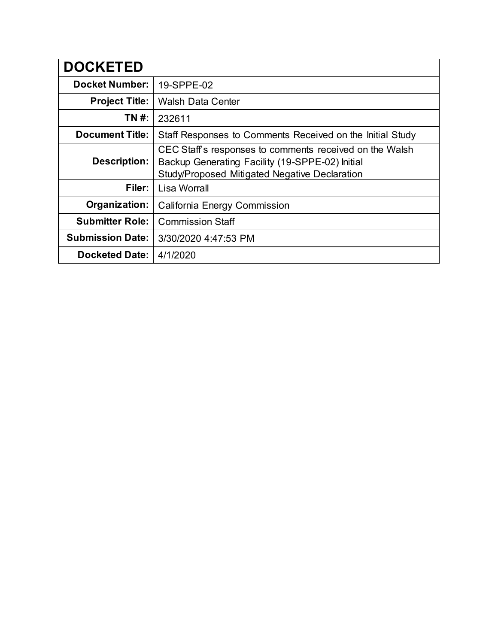| <b>DOCKETED</b>         |                                                                                                                                                                    |
|-------------------------|--------------------------------------------------------------------------------------------------------------------------------------------------------------------|
| <b>Docket Number:</b>   | 19-SPPE-02                                                                                                                                                         |
| <b>Project Title:</b>   | <b>Walsh Data Center</b>                                                                                                                                           |
| TN #:                   | 232611                                                                                                                                                             |
| <b>Document Title:</b>  | Staff Responses to Comments Received on the Initial Study                                                                                                          |
| Description:            | CEC Staff's responses to comments received on the Walsh<br>Backup Generating Facility (19-SPPE-02) Initial<br><b>Study/Proposed Mitigated Negative Declaration</b> |
| Filer:                  | Lisa Worrall                                                                                                                                                       |
| Organization:           | California Energy Commission                                                                                                                                       |
| <b>Submitter Role:</b>  | <b>Commission Staff</b>                                                                                                                                            |
| <b>Submission Date:</b> | 3/30/2020 4:47:53 PM                                                                                                                                               |
| <b>Docketed Date:</b>   | 4/1/2020                                                                                                                                                           |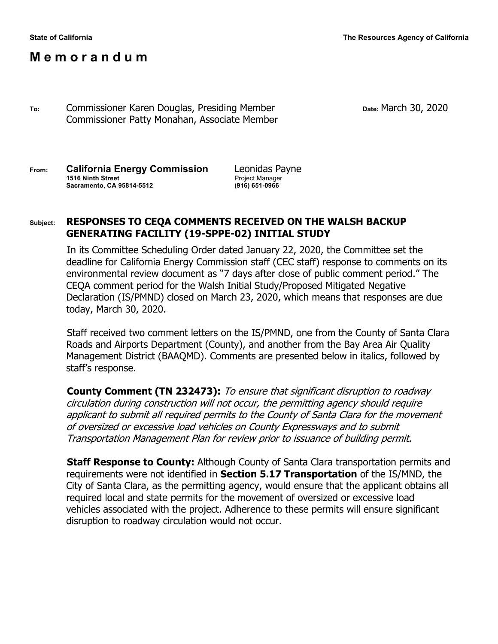# **M e m o r a n d u m**

**To:** Commissioner Karen Douglas, Presiding Member **Date:** March 30, 2020 Commissioner Patty Monahan, Associate Member

**From: California Energy Commission** Leonidas Payne **1516 Ninth Street** Project Manager **Sacramento, CA 95814-5512 (916) 651-0966**

### **Subject: RESPONSES TO CEQA COMMENTS RECEIVED ON THE WALSH BACKUP GENERATING FACILITY (19-SPPE-02) INITIAL STUDY**

In its Committee Scheduling Order dated January 22, 2020, the Committee set the deadline for California Energy Commission staff (CEC staff) response to comments on its environmental review document as "7 days after close of public comment period." The CEQA comment period for the Walsh Initial Study/Proposed Mitigated Negative Declaration (IS/PMND) closed on March 23, 2020, which means that responses are due today, March 30, 2020.

Staff received two comment letters on the IS/PMND, one from the County of Santa Clara Roads and Airports Department (County), and another from the Bay Area Air Quality Management District (BAAQMD). Comments are presented below in italics, followed by staff's response.

**County Comment (TN 232473):** To ensure that significant disruption to roadway circulation during construction will not occur, the permitting agency should require applicant to submit all required permits to the County of Santa Clara for the movement of oversized or excessive load vehicles on County Expressways and to submit Transportation Management Plan for review prior to issuance of building permit.

**Staff Response to County:** Although County of Santa Clara transportation permits and requirements were not identified in **Section 5.17 Transportation** of the IS/MND, the City of Santa Clara, as the permitting agency, would ensure that the applicant obtains all required local and state permits for the movement of oversized or excessive load vehicles associated with the project. Adherence to these permits will ensure significant disruption to roadway circulation would not occur.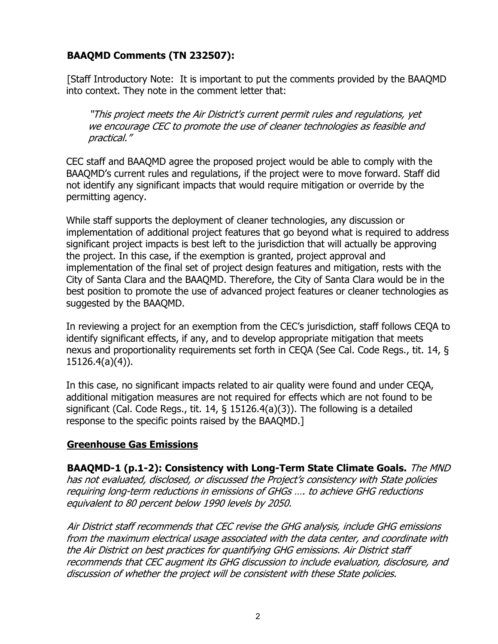# **BAAQMD Comments (TN 232507):**

[Staff Introductory Note: It is important to put the comments provided by the BAAQMD into context. They note in the comment letter that:

"This project meets the Air District's current permit rules and regulations, yet we encourage CEC to promote the use of cleaner technologies as feasible and practical."

CEC staff and BAAQMD agree the proposed project would be able to comply with the BAAQMD's current rules and regulations, if the project were to move forward. Staff did not identify any significant impacts that would require mitigation or override by the permitting agency.

While staff supports the deployment of cleaner technologies, any discussion or implementation of additional project features that go beyond what is required to address significant project impacts is best left to the jurisdiction that will actually be approving the project. In this case, if the exemption is granted, project approval and implementation of the final set of project design features and mitigation, rests with the City of Santa Clara and the BAAQMD. Therefore, the City of Santa Clara would be in the best position to promote the use of advanced project features or cleaner technologies as suggested by the BAAQMD.

In reviewing a project for an exemption from the CEC's jurisdiction, staff follows CEQA to identify significant effects, if any, and to develop appropriate mitigation that meets nexus and proportionality requirements set forth in CEQA (See Cal. Code Regs., tit. 14, § 15126.4(a)(4)).

In this case, no significant impacts related to air quality were found and under CEQA, additional mitigation measures are not required for effects which are not found to be significant (Cal. Code Regs., tit. 14, § 15126.4(a)(3)). The following is a detailed response to the specific points raised by the BAAQMD.]

### **Greenhouse Gas Emissions**

**BAAQMD-1 (p.1-2): Consistency with Long-Term State Climate Goals.** The MND has not evaluated, disclosed, or discussed the Project's consistency with State policies requiring long-term reductions in emissions of GHGs …. to achieve GHG reductions equivalent to 80 percent below 1990 levels by 2050.

Air District staff recommends that CEC revise the GHG analysis, include GHG emissions from the maximum electrical usage associated with the data center, and coordinate with the Air District on best practices for quantifying GHG emissions. Air District staff recommends that CEC augment its GHG discussion to include evaluation, disclosure, and discussion of whether the project will be consistent with these State policies.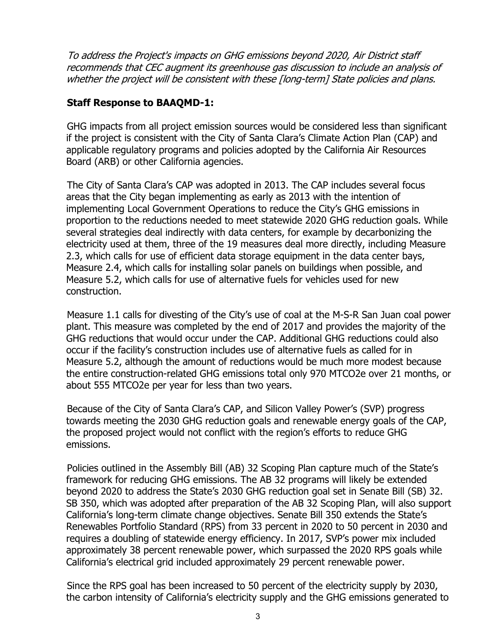To address the Project's impacts on GHG emissions beyond 2020, Air District staff recommends that CEC augment its greenhouse gas discussion to include an analysis of whether the project will be consistent with these [long-term] State policies and plans.

## **Staff Response to BAAQMD-1:**

GHG impacts from all project emission sources would be considered less than significant if the project is consistent with the City of Santa Clara's Climate Action Plan (CAP) and applicable regulatory programs and policies adopted by the California Air Resources Board (ARB) or other California agencies.

The City of Santa Clara's CAP was adopted in 2013. The CAP includes several focus areas that the City began implementing as early as 2013 with the intention of implementing Local Government Operations to reduce the City's GHG emissions in proportion to the reductions needed to meet statewide 2020 GHG reduction goals. While several strategies deal indirectly with data centers, for example by decarbonizing the electricity used at them, three of the 19 measures deal more directly, including Measure 2.3, which calls for use of efficient data storage equipment in the data center bays, Measure 2.4, which calls for installing solar panels on buildings when possible, and Measure 5.2, which calls for use of alternative fuels for vehicles used for new construction.

Measure 1.1 calls for divesting of the City's use of coal at the M-S-R San Juan coal power plant. This measure was completed by the end of 2017 and provides the majority of the GHG reductions that would occur under the CAP. Additional GHG reductions could also occur if the facility's construction includes use of alternative fuels as called for in Measure 5.2, although the amount of reductions would be much more modest because the entire construction-related GHG emissions total only 970 MTCO2e over 21 months, or about 555 MTCO2e per year for less than two years.

Because of the City of Santa Clara's CAP, and Silicon Valley Power's (SVP) progress towards meeting the 2030 GHG reduction goals and renewable energy goals of the CAP, the proposed project would not conflict with the region's efforts to reduce GHG emissions.

Policies outlined in the Assembly Bill (AB) 32 Scoping Plan capture much of the State's framework for reducing GHG emissions. The AB 32 programs will likely be extended beyond 2020 to address the State's 2030 GHG reduction goal set in Senate Bill (SB) 32. SB 350, which was adopted after preparation of the AB 32 Scoping Plan, will also support California's long-term climate change objectives. Senate Bill 350 extends the State's Renewables Portfolio Standard (RPS) from 33 percent in 2020 to 50 percent in 2030 and requires a doubling of statewide energy efficiency. In 2017, SVP's power mix included approximately 38 percent renewable power, which surpassed the 2020 RPS goals while California's electrical grid included approximately 29 percent renewable power.

Since the RPS goal has been increased to 50 percent of the electricity supply by 2030, the carbon intensity of California's electricity supply and the GHG emissions generated to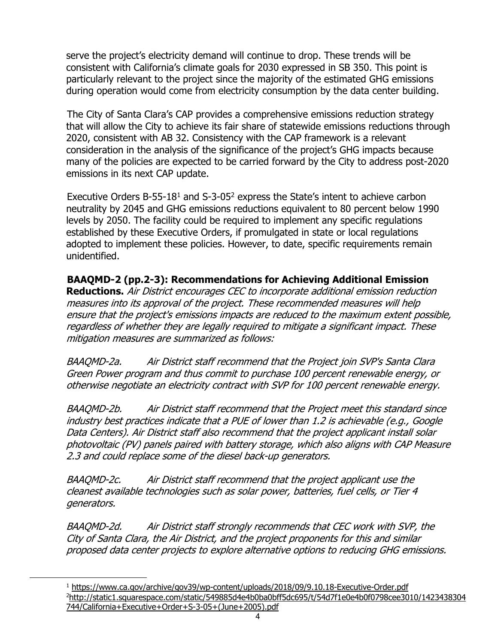serve the project's electricity demand will continue to drop. These trends will be consistent with California's climate goals for 2030 expressed in SB 350. This point is particularly relevant to the project since the majority of the estimated GHG emissions during operation would come from electricity consumption by the data center building.

The City of Santa Clara's CAP provides a comprehensive emissions reduction strategy that will allow the City to achieve its fair share of statewide emissions reductions through 2020, consistent with AB 32. Consistency with the CAP framework is a relevant consideration in the analysis of the significance of the project's GHG impacts because many of the policies are expected to be carried forward by the City to address post-2020 emissions in its next CAP update.

Executive Orders B-55-18<sup>1</sup> and S-3-05<sup>2</sup> express the State's intent to achieve carbon neutrality by 2045 and GHG emissions reductions equivalent to 80 percent below 1990 levels by 2050. The facility could be required to implement any specific regulations established by these Executive Orders, if promulgated in state or local regulations adopted to implement these policies. However, to date, specific requirements remain unidentified.

## **BAAQMD-2 (pp.2-3): Recommendations for Achieving Additional Emission**

**Reductions.** Air District encourages CEC to incorporate additional emission reduction measures into its approval of the project. These recommended measures will help ensure that the project's emissions impacts are reduced to the maximum extent possible, regardless of whether they are legally required to mitigate a significant impact. These mitigation measures are summarized as follows:

BAAQMD-2a. Air District staff recommend that the Project join SVP's Santa Clara Green Power program and thus commit to purchase 100 percent renewable energy, or otherwise negotiate an electricity contract with SVP for 100 percent renewable energy.

BAAQMD-2b. Air District staff recommend that the Project meet this standard since industry best practices indicate that a PUE of lower than 1.2 is achievable (e.g., Google Data Centers). Air District staff also recommend that the project applicant install solar photovoltaic (PV) panels paired with battery storage, which also aligns with CAP Measure 2.3 and could replace some of the diesel back-up generators.

BAAQMD-2c. Air District staff recommend that the project applicant use the cleanest available technologies such as solar power, batteries, fuel cells, or Tier 4 generators.

BAAQMD-2d. Air District staff strongly recommends that CEC work with SVP, the City of Santa Clara, the Air District, and the project proponents for this and similar proposed data center projects to explore alternative options to reducing GHG emissions.

<sup>1</sup> https://www.ca.gov/archive/gov39/wp-content/uploads/2018/09/9.10.18-Executive-Order.pdf 2 http://static1.squarespace.com/static/549885d4e4b0ba0bff5dc695/t/54d7f1e0e4b0f0798cee3010/1423438304 744/California+Executive+Order+S-3-05+(June+2005).pdf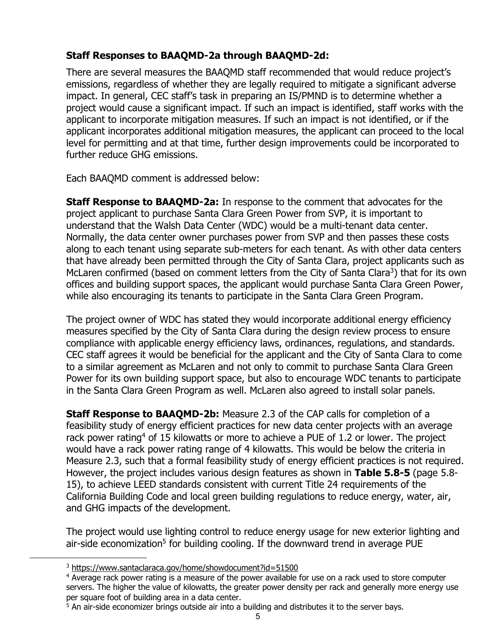# **Staff Responses to BAAQMD-2a through BAAQMD-2d:**

There are several measures the BAAQMD staff recommended that would reduce project's emissions, regardless of whether they are legally required to mitigate a significant adverse impact. In general, CEC staff's task in preparing an IS/PMND is to determine whether a project would cause a significant impact. If such an impact is identified, staff works with the applicant to incorporate mitigation measures. If such an impact is not identified, or if the applicant incorporates additional mitigation measures, the applicant can proceed to the local level for permitting and at that time, further design improvements could be incorporated to further reduce GHG emissions.

Each BAAQMD comment is addressed below:

**Staff Response to BAAQMD-2a:** In response to the comment that advocates for the project applicant to purchase Santa Clara Green Power from SVP, it is important to understand that the Walsh Data Center (WDC) would be a multi-tenant data center. Normally, the data center owner purchases power from SVP and then passes these costs along to each tenant using separate sub-meters for each tenant. As with other data centers that have already been permitted through the City of Santa Clara, project applicants such as McLaren confirmed (based on comment letters from the City of Santa Clara<sup>3</sup>) that for its own offices and building support spaces, the applicant would purchase Santa Clara Green Power, while also encouraging its tenants to participate in the Santa Clara Green Program.

The project owner of WDC has stated they would incorporate additional energy efficiency measures specified by the City of Santa Clara during the design review process to ensure compliance with applicable energy efficiency laws, ordinances, regulations, and standards. CEC staff agrees it would be beneficial for the applicant and the City of Santa Clara to come to a similar agreement as McLaren and not only to commit to purchase Santa Clara Green Power for its own building support space, but also to encourage WDC tenants to participate in the Santa Clara Green Program as well. McLaren also agreed to install solar panels.

**Staff Response to BAAQMD-2b:** Measure 2.3 of the CAP calls for completion of a feasibility study of energy efficient practices for new data center projects with an average rack power rating<sup>4</sup> of 15 kilowatts or more to achieve a PUE of 1.2 or lower. The project would have a rack power rating range of 4 kilowatts. This would be below the criteria in Measure 2.3, such that a formal feasibility study of energy efficient practices is not required. However, the project includes various design features as shown in **Table 5.8-5** (page 5.8- 15), to achieve LEED standards consistent with current Title 24 requirements of the California Building Code and local green building regulations to reduce energy, water, air, and GHG impacts of the development.

The project would use lighting control to reduce energy usage for new exterior lighting and air-side economization<sup>5</sup> for building cooling. If the downward trend in average PUE

<sup>&</sup>lt;sup>3</sup> https://www.santaclaraca.gov/home/showdocument?id=51500

<sup>4</sup> Average rack power rating is a measure of the power available for use on a rack used to store computer servers. The higher the value of kilowatts, the greater power density per rack and generally more energy use per square foot of building area in a data center.

 $<sup>5</sup>$  An air-side economizer brings outside air into a building and distributes it to the server bays.</sup>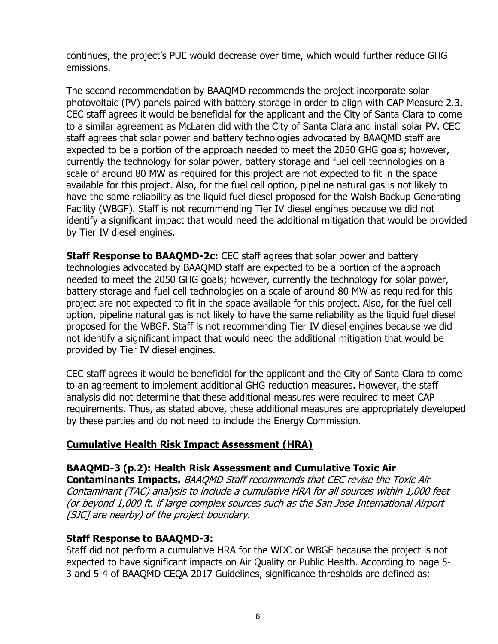continues, the project's PUE would decrease over time, which would further reduce GHG emissions.

The second recommendation by BAAQMD recommends the project incorporate solar photovoltaic (PV) panels paired with battery storage in order to align with CAP Measure 2.3. CEC staff agrees it would be beneficial for the applicant and the City of Santa Clara to come to a similar agreement as McLaren did with the City of Santa Clara and install solar PV. CEC staff agrees that solar power and battery technologies advocated by BAAQMD staff are expected to be a portion of the approach needed to meet the 2050 GHG goals; however, currently the technology for solar power, battery storage and fuel cell technologies on a scale of around 80 MW as required for this project are not expected to fit in the space available for this project. Also, for the fuel cell option, pipeline natural gas is not likely to have the same reliability as the liquid fuel diesel proposed for the Walsh Backup Generating Facility (WBGF). Staff is not recommending Tier IV diesel engines because we did not identify a significant impact that would need the additional mitigation that would be provided by Tier IV diesel engines.

**Staff Response to BAAQMD-2c:** CEC staff agrees that solar power and battery technologies advocated by BAAQMD staff are expected to be a portion of the approach needed to meet the 2050 GHG goals; however, currently the technology for solar power, battery storage and fuel cell technologies on a scale of around 80 MW as required for this project are not expected to fit in the space available for this project. Also, for the fuel cell option, pipeline natural gas is not likely to have the same reliability as the liquid fuel diesel proposed for the WBGF. Staff is not recommending Tier IV diesel engines because we did not identify a significant impact that would need the additional mitigation that would be provided by Tier IV diesel engines.

CEC staff agrees it would be beneficial for the applicant and the City of Santa Clara to come to an agreement to implement additional GHG reduction measures. However, the staff analysis did not determine that these additional measures were required to meet CAP requirements. Thus, as stated above, these additional measures are appropriately developed by these parties and do not need to include the Energy Commission.

# **Cumulative Health Risk Impact Assessment (HRA)**

### **BAAQMD-3 (p.2): Health Risk Assessment and Cumulative Toxic Air**

**Contaminants Impacts.** BAAQMD Staff recommends that CEC revise the Toxic Air Contaminant (TAC) analysis to include a cumulative HRA for all sources within 1,000 feet (or beyond 1,000 ft. if large complex sources such as the San Jose International Airport [SJC] are nearby) of the project boundary.

### **Staff Response to BAAQMD-3:**

Staff did not perform a cumulative HRA for the WDC or WBGF because the project is not expected to have significant impacts on Air Quality or Public Health. According to page 5- 3 and 5-4 of BAAQMD CEQA 2017 Guidelines, significance thresholds are defined as: